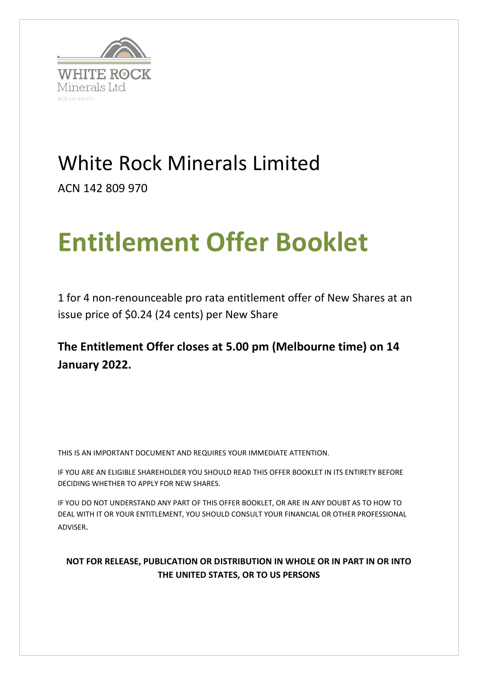

# White Rock Minerals Limited

ACN 142 809 970

# **Entitlement Offer Booklet**

1 for 4 non-renounceable pro rata entitlement offer of New Shares at an issue price of \$0.24 (24 cents) per New Share

# **The Entitlement Offer closes at 5.00 pm (Melbourne time) on 14 January 2022.**

THIS IS AN IMPORTANT DOCUMENT AND REQUIRES YOUR IMMEDIATE ATTENTION.

IF YOU ARE AN ELIGIBLE SHAREHOLDER YOU SHOULD READ THIS OFFER BOOKLET IN ITS ENTIRETY BEFORE DECIDING WHETHER TO APPLY FOR NEW SHARES.

IF YOU DO NOT UNDERSTAND ANY PART OF THIS OFFER BOOKLET, OR ARE IN ANY DOUBT AS TO HOW TO DEAL WITH IT OR YOUR ENTITLEMENT, YOU SHOULD CONSULT YOUR FINANCIAL OR OTHER PROFESSIONAL ADVISER.

### **NOT FOR RELEASE, PUBLICATION OR DISTRIBUTION IN WHOLE OR IN PART IN OR INTO THE UNITED STATES, OR TO US PERSONS**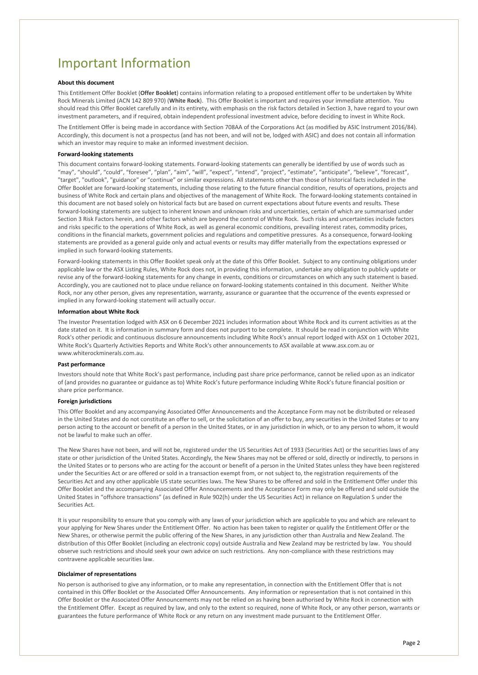### <span id="page-1-0"></span>Important Information

#### **About this document**

This Entitlement Offer Booklet (**Offer Booklet**) contains information relating to a proposed entitlement offer to be undertaken by White Rock Minerals Limited (ACN 142 809 970) (**White Rock**). This Offer Booklet is important and requires your immediate attention. You should read this Offer Booklet carefully and in its entirety, with emphasis on the risk factors detailed in Section 3, have regard to your own investment parameters, and if required, obtain independent professional investment advice, before deciding to invest in White Rock.

The Entitlement Offer is being made in accordance with Section 708AA of the Corporations Act (as modified by ASIC Instrument 2016/84). Accordingly, this document is not a prospectus (and has not been, and will not be, lodged with ASIC) and does not contain all information which an investor may require to make an informed investment decision.

#### **Forward-looking statements**

This document contains forward-looking statements. Forward-looking statements can generally be identified by use of words such as "may", "should", "could", "foresee", "plan", "aim", "will", "expect", "intend", "project", "estimate", "anticipate", "believe", "forecast", "target", "outlook", "guidance" or "continue" or similar expressions. All statements other than those of historical facts included in the Offer Booklet are forward-looking statements, including those relating to the future financial condition, results of operations, projects and business of White Rock and certain plans and objectives of the management of White Rock. The forward-looking statements contained in this document are not based solely on historical facts but are based on current expectations about future events and results. These forward-looking statements are subject to inherent known and unknown risks and uncertainties, certain of which are summarised under Section [3](#page-15-0) Risk Factors herein, and other factors which are beyond the control of White Rock. Such risks and uncertainties include factors and risks specific to the operations of White Rock, as well as general economic conditions, prevailing interest rates, commodity prices, conditions in the financial markets, government policies and regulations and competitive pressures. As a consequence, forward-looking statements are provided as a general guide only and actual events or results may differ materially from the expectations expressed or implied in such forward-looking statements.

Forward-looking statements in this Offer Booklet speak only at the date of this Offer Booklet. Subject to any continuing obligations under applicable law or the ASX Listing Rules, White Rock does not, in providing this information, undertake any obligation to publicly update or revise any of the forward-looking statements for any change in events, conditions or circumstances on which any such statement is based. Accordingly, you are cautioned not to place undue reliance on forward-looking statements contained in this document. Neither White Rock, nor any other person, gives any representation, warranty, assurance or guarantee that the occurrence of the events expressed or implied in any forward-looking statement will actually occur.

#### **Information about White Rock**

The Investor Presentation lodged with ASX on 6 December 2021 includes information about White Rock and its current activities as at the date stated on it. It is information in summary form and does not purport to be complete. It should be read in conjunction with White Rock's other periodic and continuous disclosure announcements including White Rock's annual report lodged with ASX on 1 October 2021, White Rock's Quarterly Activities Reports and White Rock's other announcements to ASX available a[t www.asx.com.au](http://www.asx.com.au/) or www.whiterockminerals.com.au.

#### **Past performance**

Investors should note that White Rock's past performance, including past share price performance, cannot be relied upon as an indicator of (and provides no guarantee or guidance as to) White Rock's future performance including White Rock's future financial position or share price performance.

#### **Foreign jurisdictions**

This Offer Booklet and any accompanying Associated Offer Announcements and the Acceptance Form may not be distributed or released in the United States and do not constitute an offer to sell, or the solicitation of an offer to buy, any securities in the United States or to any person acting to the account or benefit of a person in the United States, or in any jurisdiction in which, or to any person to whom, it would not be lawful to make such an offer.

The New Shares have not been, and will not be, registered under the US Securities Act of 1933 (Securities Act) or the securities laws of any state or other jurisdiction of the United States. Accordingly, the New Shares may not be offered or sold, directly or indirectly, to persons in the United States or to persons who are acting for the account or benefit of a person in the United States unless they have been registered under the Securities Act or are offered or sold in a transaction exempt from, or not subject to, the registration requirements of the Securities Act and any other applicable US state securities laws. The New Shares to be offered and sold in the Entitlement Offer under this Offer Booklet and the accompanying Associated Offer Announcements and the Acceptance Form may only be offered and sold outside the United States in "offshore transactions" (as defined in Rule 902(h) under the US Securities Act) in reliance on Regulation S under the Securities Act.

It is your responsibility to ensure that you comply with any laws of your jurisdiction which are applicable to you and which are relevant to your applying for New Shares under the Entitlement Offer. No action has been taken to register or qualify the Entitlement Offer or the New Shares, or otherwise permit the public offering of the New Shares, in any jurisdiction other than Australia and New Zealand. The distribution of this Offer Booklet (including an electronic copy) outside Australia and New Zealand may be restricted by law. You should observe such restrictions and should seek your own advice on such restrictions. Any non-compliance with these restrictions may contravene applicable securities law.

#### **Disclaimer of representations**

No person is authorised to give any information, or to make any representation, in connection with the Entitlement Offer that is not contained in this Offer Booklet or the Associated Offer Announcements. Any information or representation that is not contained in this Offer Booklet or the Associated Offer Announcements may not be relied on as having been authorised by White Rock in connection with the Entitlement Offer. Except as required by law, and only to the extent so required, none of White Rock, or any other person, warrants or guarantees the future performance of White Rock or any return on any investment made pursuant to the Entitlement Offer.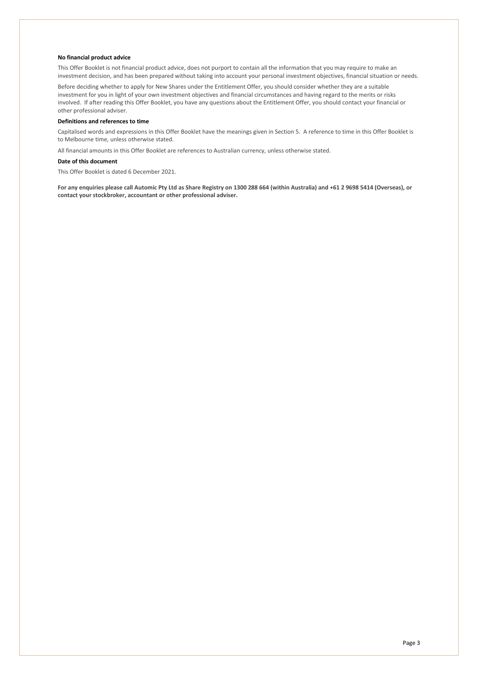#### **No financial product advice**

This Offer Booklet is not financial product advice, does not purport to contain all the information that you may require to make an investment decision, and has been prepared without taking into account your personal investment objectives, financial situation or needs.

Before deciding whether to apply for New Shares under the Entitlement Offer, you should consider whether they are a suitable investment for you in light of your own investment objectives and financial circumstances and having regard to the merits or risks involved. If after reading this Offer Booklet, you have any questions about the Entitlement Offer, you should contact your financial or other professional adviser.

#### **Definitions and references to time**

Capitalised words and expressions in this Offer Booklet have the meanings given in Section 5. A reference to time in this Offer Booklet is to Melbourne time, unless otherwise stated.

All financial amounts in this Offer Booklet are references to Australian currency, unless otherwise stated.

#### **Date of this document**

This Offer Booklet is dated 6 December 2021.

**For any enquiries please call Automic Pty Ltd as Share Registry on 1300 288 664 (within Australia) and +61 2 9698 5414 (Overseas), or contact your stockbroker, accountant or other professional adviser.**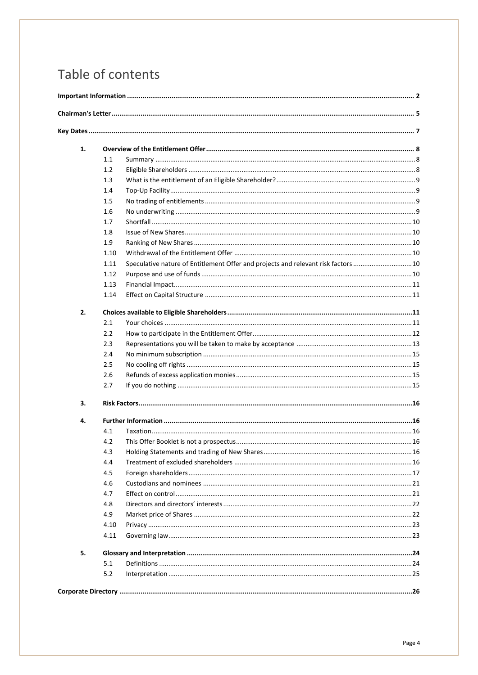# Table of contents

| 1. |      |                                                                                    |  |
|----|------|------------------------------------------------------------------------------------|--|
|    | 1.1  |                                                                                    |  |
|    | 1.2  |                                                                                    |  |
|    | 1.3  |                                                                                    |  |
|    | 1.4  |                                                                                    |  |
|    | 1.5  |                                                                                    |  |
|    | 1.6  |                                                                                    |  |
|    | 1.7  |                                                                                    |  |
|    | 1.8  |                                                                                    |  |
|    | 1.9  |                                                                                    |  |
|    | 1.10 |                                                                                    |  |
|    | 1.11 | Speculative nature of Entitlement Offer and projects and relevant risk factors  10 |  |
|    | 1.12 |                                                                                    |  |
|    | 1.13 |                                                                                    |  |
|    | 1.14 |                                                                                    |  |
| 2. |      |                                                                                    |  |
|    | 2.1  |                                                                                    |  |
|    | 2.2  |                                                                                    |  |
|    | 2.3  |                                                                                    |  |
|    | 2.4  |                                                                                    |  |
|    | 2.5  |                                                                                    |  |
|    | 2.6  |                                                                                    |  |
|    | 2.7  |                                                                                    |  |
| 3. |      |                                                                                    |  |
| 4. |      |                                                                                    |  |
|    | 4.1  |                                                                                    |  |
|    | 4.2  |                                                                                    |  |
|    | 4.3  |                                                                                    |  |
|    | 4.4  |                                                                                    |  |
|    | 4.5  |                                                                                    |  |
|    | 4.6  |                                                                                    |  |
|    | 4.7  |                                                                                    |  |
|    | 4.8  |                                                                                    |  |
|    | 4.9  |                                                                                    |  |
|    | 4.10 |                                                                                    |  |
|    | 4.11 |                                                                                    |  |
| 5. |      |                                                                                    |  |
|    | 5.1  |                                                                                    |  |
|    | 5.2  |                                                                                    |  |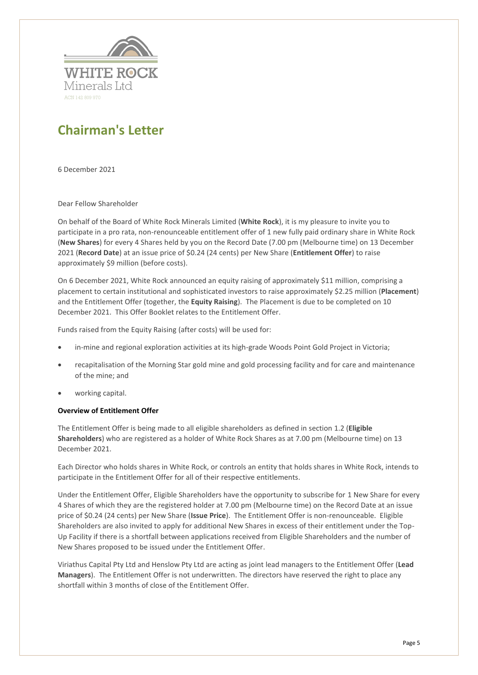

## <span id="page-4-0"></span>**Chairman's Letter**

6 December 2021

Dear Fellow Shareholder

On behalf of the Board of White Rock Minerals Limited (**White Rock**), it is my pleasure to invite you to participate in a pro rata, non-renounceable entitlement offer of 1 new fully paid ordinary share in White Rock (**New Shares**) for every 4 Shares held by you on the Record Date (7.00 pm (Melbourne time) on 13 December 2021 (**Record Date**) at an issue price of \$0.24 (24 cents) per New Share (**Entitlement Offer**) to raise approximately \$9 million (before costs).

On 6 December 2021, White Rock announced an equity raising of approximately \$11 million, comprising a placement to certain institutional and sophisticated investors to raise approximately \$2.25 million (**Placement**) and the Entitlement Offer (together, the **Equity Raising**). The Placement is due to be completed on 10 December 2021. This Offer Booklet relates to the Entitlement Offer.

Funds raised from the Equity Raising (after costs) will be used for:

- in-mine and regional exploration activities at its high-grade Woods Point Gold Project in Victoria;
- recapitalisation of the Morning Star gold mine and gold processing facility and for care and maintenance of the mine; and
- working capital.

#### **Overview of Entitlement Offer**

The Entitlement Offer is being made to all eligible shareholders as defined in section [1.2](#page-7-2) (**Eligible Shareholders**) who are registered as a holder of White Rock Shares as at 7.00 pm (Melbourne time) on 13 December 2021.

Each Director who holds shares in White Rock, or controls an entity that holds shares in White Rock, intends to participate in the Entitlement Offer for all of their respective entitlements.

Under the Entitlement Offer, Eligible Shareholders have the opportunity to subscribe for 1 New Share for every 4 Shares of which they are the registered holder at 7.00 pm (Melbourne time) on the Record Date at an issue price of \$0.24 (24 cents) per New Share (**Issue Price**). The Entitlement Offer is non-renounceable. Eligible Shareholders are also invited to apply for additional New Shares in excess of their entitlement under the Top-Up Facility if there is a shortfall between applications received from Eligible Shareholders and the number of New Shares proposed to be issued under the Entitlement Offer.

Viriathus Capital Pty Ltd and Henslow Pty Ltd are acting as joint lead managers to the Entitlement Offer (**Lead Managers**). The Entitlement Offer is not underwritten. The directors have reserved the right to place any shortfall within 3 months of close of the Entitlement Offer.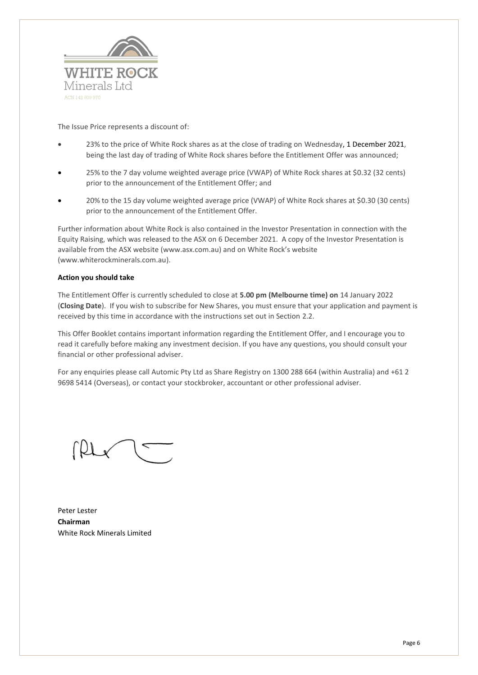

The Issue Price represents a discount of:

- 23% to the price of White Rock shares as at the close of trading on Wednesday, 1 December 2021, being the last day of trading of White Rock shares before the Entitlement Offer was announced;
- 25% to the 7 day volume weighted average price (VWAP) of White Rock shares at \$0.32 (32 cents) prior to the announcement of the Entitlement Offer; and
- 20% to the 15 day volume weighted average price (VWAP) of White Rock shares at \$0.30 (30 cents) prior to the announcement of the Entitlement Offer.

Further information about White Rock is also contained in the Investor Presentation in connection with the Equity Raising, which was released to the ASX on 6 December 2021. A copy of the Investor Presentation is available from the ASX website (www.asx.com.au) and on White Rock's website (www.whiterockminerals.com.au).

#### **Action you should take**

The Entitlement Offer is currently scheduled to close at **5.00 pm (Melbourne time) on** 14 January 2022 (**Closing Date**). If you wish to subscribe for New Shares, you must ensure that your application and payment is received by this time in accordance with the instructions set out in Section [2.2.](#page-11-0)

This Offer Booklet contains important information regarding the Entitlement Offer, and I encourage you to read it carefully before making any investment decision. If you have any questions, you should consult your financial or other professional adviser.

For any enquiries please call Automic Pty Ltd as Share Registry on 1300 288 664 (within Australia) and +61 2 9698 5414 (Overseas), or contact your stockbroker, accountant or other professional adviser.

Peter Lester **Chairman** White Rock Minerals Limited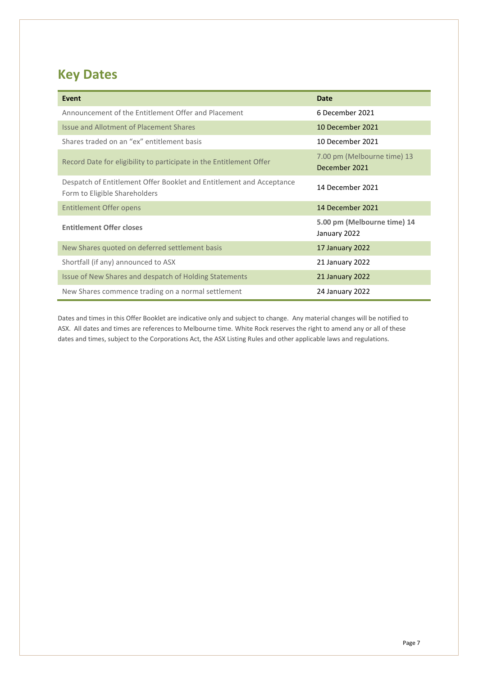# <span id="page-6-0"></span>**Key Dates**

| Event                                                                                                 | <b>Date</b>                                  |
|-------------------------------------------------------------------------------------------------------|----------------------------------------------|
| Announcement of the Entitlement Offer and Placement                                                   | 6 December 2021                              |
| <b>Issue and Allotment of Placement Shares</b>                                                        | 10 December 2021                             |
| Shares traded on an "ex" entitlement basis                                                            | 10 December 2021                             |
| Record Date for eligibility to participate in the Entitlement Offer                                   | 7.00 pm (Melbourne time) 13<br>December 2021 |
| Despatch of Entitlement Offer Booklet and Entitlement and Acceptance<br>Form to Eligible Shareholders | 14 December 2021                             |
| <b>Entitlement Offer opens</b>                                                                        | 14 December 2021                             |
| <b>Entitlement Offer closes</b>                                                                       | 5.00 pm (Melbourne time) 14<br>January 2022  |
| New Shares quoted on deferred settlement basis                                                        | 17 January 2022                              |
| Shortfall (if any) announced to ASX                                                                   | 21 January 2022                              |
| Issue of New Shares and despatch of Holding Statements                                                | 21 January 2022                              |
| New Shares commence trading on a normal settlement                                                    | 24 January 2022                              |

Dates and times in this Offer Booklet are indicative only and subject to change. Any material changes will be notified to ASX. All dates and times are references to Melbourne time. White Rock reserves the right to amend any or all of these dates and times, subject to the Corporations Act, the ASX Listing Rules and other applicable laws and regulations.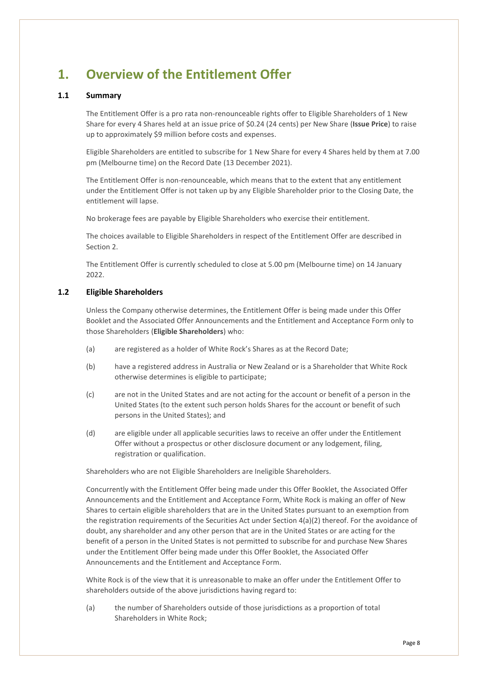# <span id="page-7-0"></span>**1. Overview of the Entitlement Offer**

#### <span id="page-7-1"></span>**1.1 Summary**

The Entitlement Offer is a pro rata non-renounceable rights offer to Eligible Shareholders of 1 New Share for every 4 Shares held at an issue price of \$0.24 (24 cents) per New Share (**Issue Price**) to raise up to approximately \$9 million before costs and expenses.

Eligible Shareholders are entitled to subscribe for 1 New Share for every 4 Shares held by them at 7.00 pm (Melbourne time) on the Record Date (13 December 2021).

The Entitlement Offer is non-renounceable, which means that to the extent that any entitlement under the Entitlement Offer is not taken up by any Eligible Shareholder prior to the Closing Date, the entitlement will lapse.

No brokerage fees are payable by Eligible Shareholders who exercise their entitlement.

The choices available to Eligible Shareholders in respect of the Entitlement Offer are described in Sectio[n 2.](#page-10-2)

The Entitlement Offer is currently scheduled to close at 5.00 pm (Melbourne time) on 14 January 2022.

#### <span id="page-7-2"></span>**1.2 Eligible Shareholders**

Unless the Company otherwise determines, the Entitlement Offer is being made under this Offer Booklet and the Associated Offer Announcements and the Entitlement and Acceptance Form only to those Shareholders (**Eligible Shareholders**) who:

- (a) are registered as a holder of White Rock's Shares as at the Record Date;
- (b) have a registered address in Australia or New Zealand or is a Shareholder that White Rock otherwise determines is eligible to participate;
- (c) are not in the United States and are not acting for the account or benefit of a person in the United States (to the extent such person holds Shares for the account or benefit of such persons in the United States); and
- (d) are eligible under all applicable securities laws to receive an offer under the Entitlement Offer without a prospectus or other disclosure document or any lodgement, filing, registration or qualification.

Shareholders who are not Eligible Shareholders are Ineligible Shareholders.

Concurrently with the Entitlement Offer being made under this Offer Booklet, the Associated Offer Announcements and the Entitlement and Acceptance Form, White Rock is making an offer of New Shares to certain eligible shareholders that are in the United States pursuant to an exemption from the registration requirements of the Securities Act under Section 4(a)(2) thereof. For the avoidance of doubt, any shareholder and any other person that are in the United States or are acting for the benefit of a person in the United States is not permitted to subscribe for and purchase New Shares under the Entitlement Offer being made under this Offer Booklet, the Associated Offer Announcements and the Entitlement and Acceptance Form.

White Rock is of the view that it is unreasonable to make an offer under the Entitlement Offer to shareholders outside of the above jurisdictions having regard to:

(a) the number of Shareholders outside of those jurisdictions as a proportion of total Shareholders in White Rock;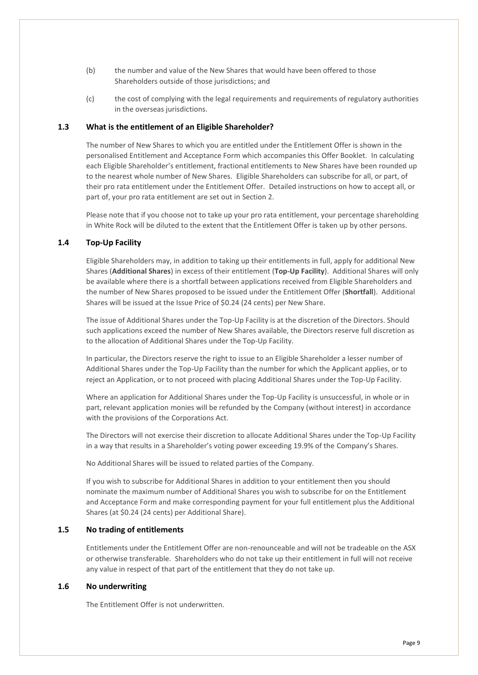- (b) the number and value of the New Shares that would have been offered to those Shareholders outside of those jurisdictions; and
- (c) the cost of complying with the legal requirements and requirements of regulatory authorities in the overseas jurisdictions.

#### <span id="page-8-0"></span>**1.3 What is the entitlement of an Eligible Shareholder?**

The number of New Shares to which you are entitled under the Entitlement Offer is shown in the personalised Entitlement and Acceptance Form which accompanies this Offer Booklet. In calculating each Eligible Shareholder's entitlement, fractional entitlements to New Shares have been rounded up to the nearest whole number of New Shares. Eligible Shareholders can subscribe for all, or part, of their pro rata entitlement under the Entitlement Offer. Detailed instructions on how to accept all, or part of, your pro rata entitlement are set out in Section [2.](#page-10-2)

Please note that if you choose not to take up your pro rata entitlement, your percentage shareholding in White Rock will be diluted to the extent that the Entitlement Offer is taken up by other persons.

#### <span id="page-8-1"></span>**1.4 Top-Up Facility**

Eligible Shareholders may, in addition to taking up their entitlements in full, apply for additional New Shares (**Additional Shares**) in excess of their entitlement (**Top-Up Facility**). Additional Shares will only be available where there is a shortfall between applications received from Eligible Shareholders and the number of New Shares proposed to be issued under the Entitlement Offer (**Shortfall**). Additional Shares will be issued at the Issue Price of \$0.24 (24 cents) per New Share.

The issue of Additional Shares under the Top-Up Facility is at the discretion of the Directors. Should such applications exceed the number of New Shares available, the Directors reserve full discretion as to the allocation of Additional Shares under the Top-Up Facility.

In particular, the Directors reserve the right to issue to an Eligible Shareholder a lesser number of Additional Shares under the Top-Up Facility than the number for which the Applicant applies, or to reject an Application, or to not proceed with placing Additional Shares under the Top-Up Facility.

Where an application for Additional Shares under the Top-Up Facility is unsuccessful, in whole or in part, relevant application monies will be refunded by the Company (without interest) in accordance with the provisions of the Corporations Act.

The Directors will not exercise their discretion to allocate Additional Shares under the Top-Up Facility in a way that results in a Shareholder's voting power exceeding 19.9% of the Company's Shares.

No Additional Shares will be issued to related parties of the Company.

If you wish to subscribe for Additional Shares in addition to your entitlement then you should nominate the maximum number of Additional Shares you wish to subscribe for on the Entitlement and Acceptance Form and make corresponding payment for your full entitlement plus the Additional Shares (at \$0.24 (24 cents) per Additional Share).

#### <span id="page-8-2"></span>**1.5 No trading of entitlements**

Entitlements under the Entitlement Offer are non-renounceable and will not be tradeable on the ASX or otherwise transferable. Shareholders who do not take up their entitlement in full will not receive any value in respect of that part of the entitlement that they do not take up.

#### <span id="page-8-3"></span>**1.6 No underwriting**

The Entitlement Offer is not underwritten.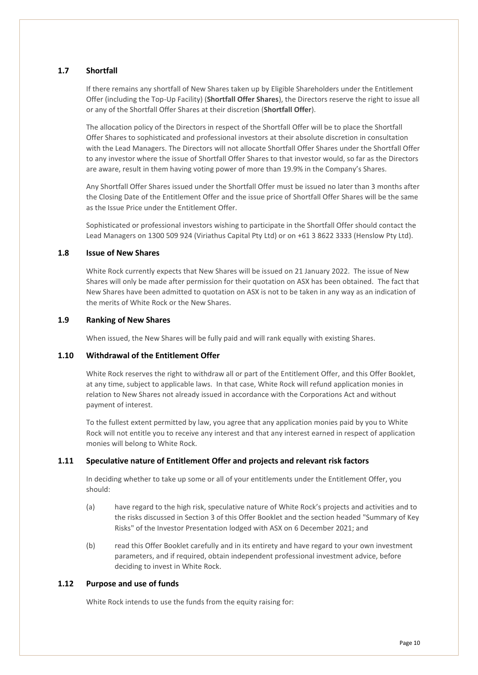#### <span id="page-9-0"></span>**1.7 Shortfall**

If there remains any shortfall of New Shares taken up by Eligible Shareholders under the Entitlement Offer (including the Top-Up Facility) (**Shortfall Offer Shares**), the Directors reserve the right to issue all or any of the Shortfall Offer Shares at their discretion (**Shortfall Offer**).

The allocation policy of the Directors in respect of the Shortfall Offer will be to place the Shortfall Offer Shares to sophisticated and professional investors at their absolute discretion in consultation with the Lead Managers. The Directors will not allocate Shortfall Offer Shares under the Shortfall Offer to any investor where the issue of Shortfall Offer Shares to that investor would, so far as the Directors are aware, result in them having voting power of more than 19.9% in the Company's Shares.

Any Shortfall Offer Shares issued under the Shortfall Offer must be issued no later than 3 months after the Closing Date of the Entitlement Offer and the issue price of Shortfall Offer Shares will be the same as the Issue Price under the Entitlement Offer.

Sophisticated or professional investors wishing to participate in the Shortfall Offer should contact the Lead Managers on 1300 509 924 (Viriathus Capital Pty Ltd) or on +61 3 8622 3333 (Henslow Pty Ltd).

#### <span id="page-9-1"></span>**1.8 Issue of New Shares**

White Rock currently expects that New Shares will be issued on 21 January 2022. The issue of New Shares will only be made after permission for their quotation on ASX has been obtained. The fact that New Shares have been admitted to quotation on ASX is not to be taken in any way as an indication of the merits of White Rock or the New Shares.

#### <span id="page-9-2"></span>**1.9 Ranking of New Shares**

When issued, the New Shares will be fully paid and will rank equally with existing Shares.

#### <span id="page-9-3"></span>**1.10 Withdrawal of the Entitlement Offer**

White Rock reserves the right to withdraw all or part of the Entitlement Offer, and this Offer Booklet, at any time, subject to applicable laws. In that case, White Rock will refund application monies in relation to New Shares not already issued in accordance with the Corporations Act and without payment of interest.

To the fullest extent permitted by law, you agree that any application monies paid by you to White Rock will not entitle you to receive any interest and that any interest earned in respect of application monies will belong to White Rock.

#### <span id="page-9-4"></span>**1.11 Speculative nature of Entitlement Offer and projects and relevant risk factors**

In deciding whether to take up some or all of your entitlements under the Entitlement Offer, you should:

- (a) have regard to the high risk, speculative nature of White Rock's projects and activities and to the risks discussed in Sectio[n 3](#page-15-0) of this Offer Booklet and the section headed "Summary of Key Risks" of the Investor Presentation lodged with ASX on 6 December 2021; and
- (b) read this Offer Booklet carefully and in its entirety and have regard to your own investment parameters, and if required, obtain independent professional investment advice, before deciding to invest in White Rock.

#### <span id="page-9-5"></span>**1.12 Purpose and use of funds**

White Rock intends to use the funds from the equity raising for: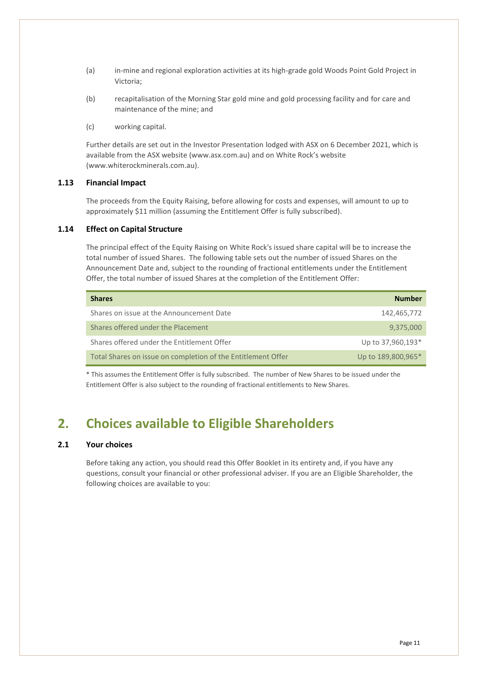- (a) in-mine and regional exploration activities at its high-grade gold Woods Point Gold Project in Victoria;
- (b) recapitalisation of the Morning Star gold mine and gold processing facility and for care and maintenance of the mine; and
- (c) working capital.

Further details are set out in the Investor Presentation lodged with ASX on 6 December 2021, which is available from the ASX website (www.asx.com.au) and on White Rock's website (www.whiterockminerals.com.au).

#### <span id="page-10-0"></span>**1.13 Financial Impact**

The proceeds from the Equity Raising, before allowing for costs and expenses, will amount to up to approximately \$11 million (assuming the Entitlement Offer is fully subscribed).

#### <span id="page-10-1"></span>**1.14 Effect on Capital Structure**

The principal effect of the Equity Raising on White Rock's issued share capital will be to increase the total number of issued Shares. The following table sets out the number of issued Shares on the Announcement Date and, subject to the rounding of fractional entitlements under the Entitlement Offer, the total number of issued Shares at the completion of the Entitlement Offer:

| <b>Shares</b>                                                | <b>Number</b>      |
|--------------------------------------------------------------|--------------------|
| Shares on issue at the Announcement Date                     | 142,465,772        |
| Shares offered under the Placement                           | 9,375,000          |
| Shares offered under the Entitlement Offer                   | Up to 37,960,193*  |
| Total Shares on issue on completion of the Entitlement Offer | Up to 189,800,965* |

\* This assumes the Entitlement Offer is fully subscribed. The number of New Shares to be issued under the Entitlement Offer is also subject to the rounding of fractional entitlements to New Shares.

### <span id="page-10-2"></span>**2. Choices available to Eligible Shareholders**

#### <span id="page-10-3"></span>**2.1 Your choices**

Before taking any action, you should read this Offer Booklet in its entirety and, if you have any questions, consult your financial or other professional adviser. If you are an Eligible Shareholder, the following choices are available to you: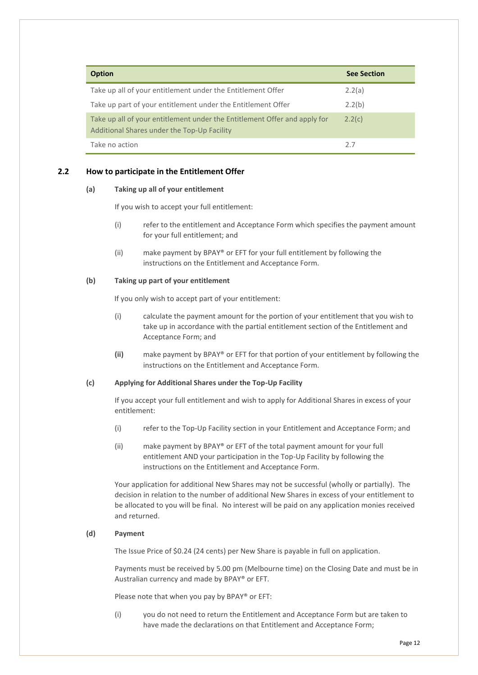| <b>Option</b>                                                                                                            | <b>See Section</b> |
|--------------------------------------------------------------------------------------------------------------------------|--------------------|
| Take up all of your entitlement under the Entitlement Offer                                                              | 2.2(a)             |
| Take up part of your entitlement under the Entitlement Offer                                                             | 2.2(b)             |
| Take up all of your entitlement under the Entitlement Offer and apply for<br>Additional Shares under the Top-Up Facility | 2.2(c)             |
| Take no action                                                                                                           | 2.7                |

#### <span id="page-11-1"></span><span id="page-11-0"></span>**2.2 How to participate in the Entitlement Offer**

#### **(a) Taking up all of your entitlement**

If you wish to accept your full entitlement:

- (i) refer to the entitlement and Acceptance Form which specifies the payment amount for your full entitlement; and
- (ii) make payment by BPAY® or EFT for your full entitlement by following the instructions on the Entitlement and Acceptance Form.

#### <span id="page-11-2"></span>**(b) Taking up part of your entitlement**

If you only wish to accept part of your entitlement:

- (i) calculate the payment amount for the portion of your entitlement that you wish to take up in accordance with the partial entitlement section of the Entitlement and Acceptance Form; and
- **(ii)** make payment by BPAY® or EFT for that portion of your entitlement by following the instructions on the Entitlement and Acceptance Form.

#### **(c) Applying for Additional Shares under the Top-Up Facility**

If you accept your full entitlement and wish to apply for Additional Shares in excess of your entitlement:

- (i) refer to the Top-Up Facility section in your Entitlement and Acceptance Form; and
- (ii) make payment by BPAY® or EFT of the total payment amount for your full entitlement AND your participation in the Top-Up Facility by following the instructions on the Entitlement and Acceptance Form.

Your application for additional New Shares may not be successful (wholly or partially). The decision in relation to the number of additional New Shares in excess of your entitlement to be allocated to you will be final. No interest will be paid on any application monies received and returned.

#### **(d) Payment**

The Issue Price of \$0.24 (24 cents) per New Share is payable in full on application.

Payments must be received by 5.00 pm (Melbourne time) on the Closing Date and must be in Australian currency and made by BPAY® or EFT.

Please note that when you pay by BPAY® or EFT:

(i) you do not need to return the Entitlement and Acceptance Form but are taken to have made the declarations on that Entitlement and Acceptance Form;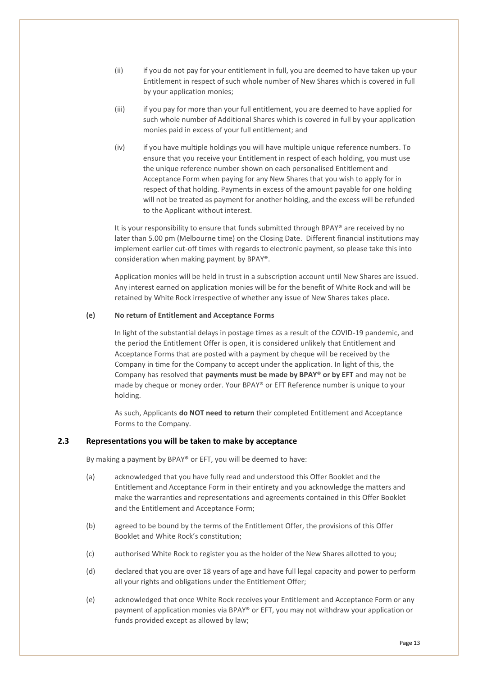- (ii) if you do not pay for your entitlement in full, you are deemed to have taken up your Entitlement in respect of such whole number of New Shares which is covered in full by your application monies;
- (iii) if you pay for more than your full entitlement, you are deemed to have applied for such whole number of Additional Shares which is covered in full by your application monies paid in excess of your full entitlement; and
- (iv) if you have multiple holdings you will have multiple unique reference numbers. To ensure that you receive your Entitlement in respect of each holding, you must use the unique reference number shown on each personalised Entitlement and Acceptance Form when paying for any New Shares that you wish to apply for in respect of that holding. Payments in excess of the amount payable for one holding will not be treated as payment for another holding, and the excess will be refunded to the Applicant without interest.

It is your responsibility to ensure that funds submitted through BPAY® are received by no later than 5.00 pm (Melbourne time) on the Closing Date. Different financial institutions may implement earlier cut-off times with regards to electronic payment, so please take this into consideration when making payment by BPAY®.

Application monies will be held in trust in a subscription account until New Shares are issued. Any interest earned on application monies will be for the benefit of White Rock and will be retained by White Rock irrespective of whether any issue of New Shares takes place.

#### **(e) No return of Entitlement and Acceptance Forms**

In light of the substantial delays in postage times as a result of the COVID-19 pandemic, and the period the Entitlement Offer is open, it is considered unlikely that Entitlement and Acceptance Forms that are posted with a payment by cheque will be received by the Company in time for the Company to accept under the application. In light of this, the Company has resolved that **payments must be made by BPAY® or by EFT** and may not be made by cheque or money order. Your BPAY® or EFT Reference number is unique to your holding.

As such, Applicants **do NOT need to return** their completed Entitlement and Acceptance Forms to the Company.

#### <span id="page-12-0"></span>**2.3 Representations you will be taken to make by acceptance**

By making a payment by BPAY® or EFT, you will be deemed to have:

- (a) acknowledged that you have fully read and understood this Offer Booklet and the Entitlement and Acceptance Form in their entirety and you acknowledge the matters and make the warranties and representations and agreements contained in this Offer Booklet and the Entitlement and Acceptance Form;
- (b) agreed to be bound by the terms of the Entitlement Offer, the provisions of this Offer Booklet and White Rock's constitution;
- (c) authorised White Rock to register you as the holder of the New Shares allotted to you;
- (d) declared that you are over 18 years of age and have full legal capacity and power to perform all your rights and obligations under the Entitlement Offer;
- (e) acknowledged that once White Rock receives your Entitlement and Acceptance Form or any payment of application monies via BPAY® or EFT, you may not withdraw your application or funds provided except as allowed by law;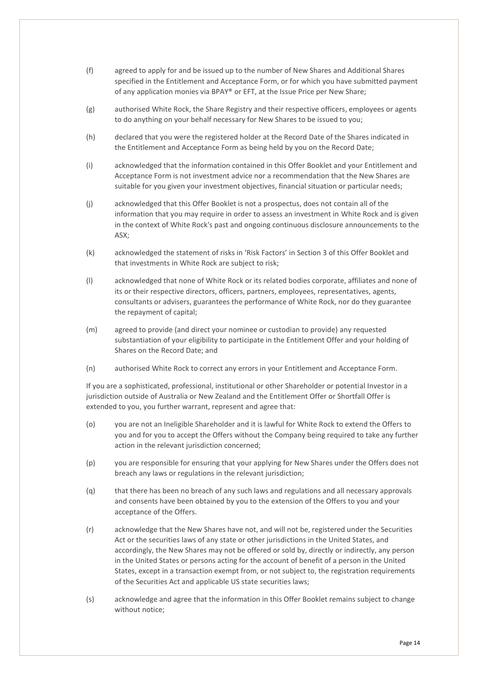- (f) agreed to apply for and be issued up to the number of New Shares and Additional Shares specified in the Entitlement and Acceptance Form, or for which you have submitted payment of any application monies via BPAY® or EFT, at the Issue Price per New Share;
- (g) authorised White Rock, the Share Registry and their respective officers, employees or agents to do anything on your behalf necessary for New Shares to be issued to you;
- (h) declared that you were the registered holder at the Record Date of the Shares indicated in the Entitlement and Acceptance Form as being held by you on the Record Date;
- (i) acknowledged that the information contained in this Offer Booklet and your Entitlement and Acceptance Form is not investment advice nor a recommendation that the New Shares are suitable for you given your investment objectives, financial situation or particular needs;
- (j) acknowledged that this Offer Booklet is not a prospectus, does not contain all of the information that you may require in order to assess an investment in White Rock and is given in the context of White Rock's past and ongoing continuous disclosure announcements to the ASX;
- (k) acknowledged the statement of risks in 'Risk Factors' in Section [3](#page-15-0) of this Offer Booklet and that investments in White Rock are subject to risk;
- (l) acknowledged that none of White Rock or its related bodies corporate, affiliates and none of its or their respective directors, officers, partners, employees, representatives, agents, consultants or advisers, guarantees the performance of White Rock, nor do they guarantee the repayment of capital;
- (m) agreed to provide (and direct your nominee or custodian to provide) any requested substantiation of your eligibility to participate in the Entitlement Offer and your holding of Shares on the Record Date; and
- (n) authorised White Rock to correct any errors in your Entitlement and Acceptance Form.

If you are a sophisticated, professional, institutional or other Shareholder or potential Investor in a jurisdiction outside of Australia or New Zealand and the Entitlement Offer or Shortfall Offer is extended to you, you further warrant, represent and agree that:

- (o) you are not an Ineligible Shareholder and it is lawful for White Rock to extend the Offers to you and for you to accept the Offers without the Company being required to take any further action in the relevant jurisdiction concerned;
- (p) you are responsible for ensuring that your applying for New Shares under the Offers does not breach any laws or regulations in the relevant jurisdiction;
- (q) that there has been no breach of any such laws and regulations and all necessary approvals and consents have been obtained by you to the extension of the Offers to you and your acceptance of the Offers.
- (r) acknowledge that the New Shares have not, and will not be, registered under the Securities Act or the securities laws of any state or other jurisdictions in the United States, and accordingly, the New Shares may not be offered or sold by, directly or indirectly, any person in the United States or persons acting for the account of benefit of a person in the United States, except in a transaction exempt from, or not subject to, the registration requirements of the Securities Act and applicable US state securities laws;
- (s) acknowledge and agree that the information in this Offer Booklet remains subject to change without notice;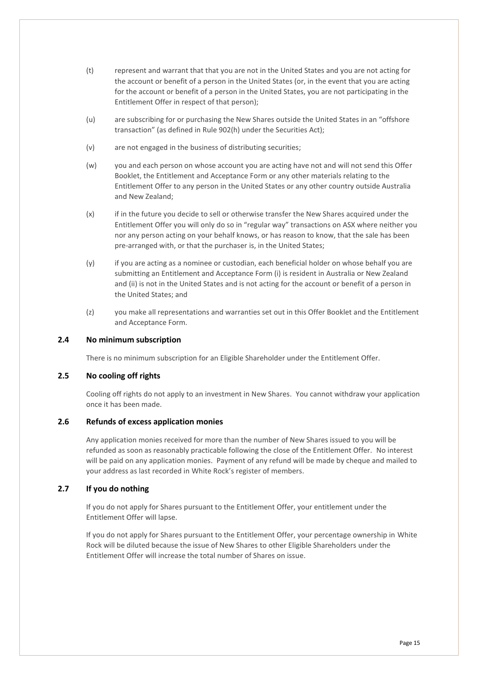- (t) represent and warrant that that you are not in the United States and you are not acting for the account or benefit of a person in the United States (or, in the event that you are acting for the account or benefit of a person in the United States, you are not participating in the Entitlement Offer in respect of that person);
- (u) are subscribing for or purchasing the New Shares outside the United States in an "offshore transaction" (as defined in Rule 902(h) under the Securities Act);
- (v) are not engaged in the business of distributing securities;
- (w) you and each person on whose account you are acting have not and will not send this Offer Booklet, the Entitlement and Acceptance Form or any other materials relating to the Entitlement Offer to any person in the United States or any other country outside Australia and New Zealand;
- (x) if in the future you decide to sell or otherwise transfer the New Shares acquired under the Entitlement Offer you will only do so in "regular way" transactions on ASX where neither you nor any person acting on your behalf knows, or has reason to know, that the sale has been pre-arranged with, or that the purchaser is, in the United States;
- (y) if you are acting as a nominee or custodian, each beneficial holder on whose behalf you are submitting an Entitlement and Acceptance Form (i) is resident in Australia or New Zealand and (ii) is not in the United States and is not acting for the account or benefit of a person in the United States; and
- (z) you make all representations and warranties set out in this Offer Booklet and the Entitlement and Acceptance Form.

#### <span id="page-14-0"></span>**2.4 No minimum subscription**

There is no minimum subscription for an Eligible Shareholder under the Entitlement Offer.

#### <span id="page-14-1"></span>**2.5 No cooling off rights**

Cooling off rights do not apply to an investment in New Shares. You cannot withdraw your application once it has been made.

#### <span id="page-14-2"></span>**2.6 Refunds of excess application monies**

Any application monies received for more than the number of New Shares issued to you will be refunded as soon as reasonably practicable following the close of the Entitlement Offer. No interest will be paid on any application monies. Payment of any refund will be made by cheque and mailed to your address as last recorded in White Rock's register of members.

#### <span id="page-14-3"></span>**2.7 If you do nothing**

If you do not apply for Shares pursuant to the Entitlement Offer, your entitlement under the Entitlement Offer will lapse.

If you do not apply for Shares pursuant to the Entitlement Offer, your percentage ownership in White Rock will be diluted because the issue of New Shares to other Eligible Shareholders under the Entitlement Offer will increase the total number of Shares on issue.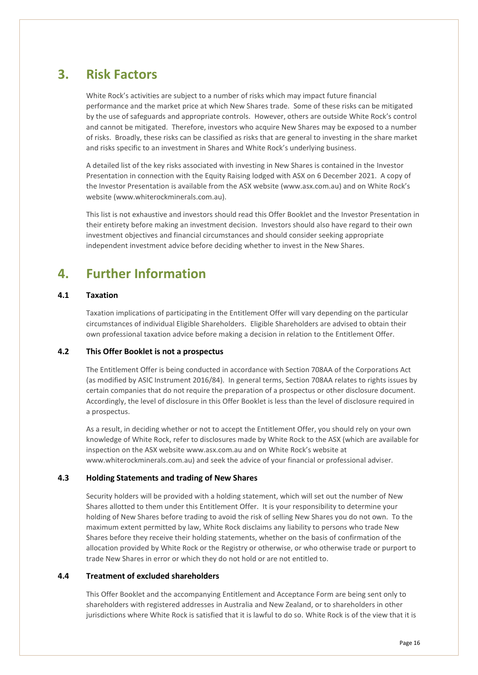# <span id="page-15-0"></span>**3. Risk Factors**

White Rock's activities are subject to a number of risks which may impact future financial performance and the market price at which New Shares trade. Some of these risks can be mitigated by the use of safeguards and appropriate controls. However, others are outside White Rock's control and cannot be mitigated. Therefore, investors who acquire New Shares may be exposed to a number of risks. Broadly, these risks can be classified as risks that are general to investing in the share market and risks specific to an investment in Shares and White Rock's underlying business.

A detailed list of the key risks associated with investing in New Shares is contained in the Investor Presentation in connection with the Equity Raising lodged with ASX on 6 December 2021. A copy of the Investor Presentation is available from the ASX website (www.asx.com.au) and on White Rock's website (www.whiterockminerals.com.au).

This list is not exhaustive and investors should read this Offer Booklet and the Investor Presentation in their entirety before making an investment decision. Investors should also have regard to their own investment objectives and financial circumstances and should consider seeking appropriate independent investment advice before deciding whether to invest in the New Shares.

### <span id="page-15-1"></span>**4. Further Information**

#### <span id="page-15-2"></span>**4.1 Taxation**

Taxation implications of participating in the Entitlement Offer will vary depending on the particular circumstances of individual Eligible Shareholders. Eligible Shareholders are advised to obtain their own professional taxation advice before making a decision in relation to the Entitlement Offer.

#### <span id="page-15-3"></span>**4.2 This Offer Booklet is not a prospectus**

The Entitlement Offer is being conducted in accordance with Section 708AA of the Corporations Act (as modified by ASIC Instrument 2016/84). In general terms, Section 708AA relates to rights issues by certain companies that do not require the preparation of a prospectus or other disclosure document. Accordingly, the level of disclosure in this Offer Booklet is less than the level of disclosure required in a prospectus.

As a result, in deciding whether or not to accept the Entitlement Offer, you should rely on your own knowledge of White Rock, refer to disclosures made by White Rock to the ASX (which are available for inspection on the ASX website www.asx.com.au and on White Rock's website at www.whiterockminerals.com.au) and seek the advice of your financial or professional adviser.

#### <span id="page-15-4"></span>**4.3 Holding Statements and trading of New Shares**

Security holders will be provided with a holding statement, which will set out the number of New Shares allotted to them under this Entitlement Offer. It is your responsibility to determine your holding of New Shares before trading to avoid the risk of selling New Shares you do not own. To the maximum extent permitted by law, White Rock disclaims any liability to persons who trade New Shares before they receive their holding statements, whether on the basis of confirmation of the allocation provided by White Rock or the Registry or otherwise, or who otherwise trade or purport to trade New Shares in error or which they do not hold or are not entitled to.

#### <span id="page-15-5"></span>**4.4 Treatment of excluded shareholders**

This Offer Booklet and the accompanying Entitlement and Acceptance Form are being sent only to shareholders with registered addresses in Australia and New Zealand, or to shareholders in other jurisdictions where White Rock is satisfied that it is lawful to do so. White Rock is of the view that it is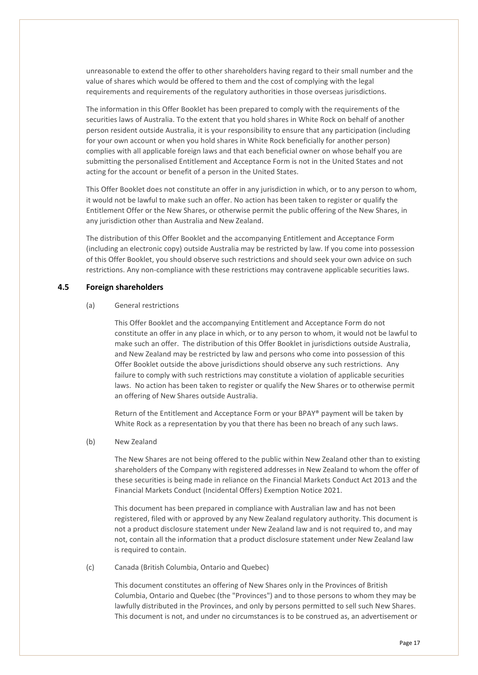unreasonable to extend the offer to other shareholders having regard to their small number and the value of shares which would be offered to them and the cost of complying with the legal requirements and requirements of the regulatory authorities in those overseas jurisdictions.

The information in this Offer Booklet has been prepared to comply with the requirements of the securities laws of Australia. To the extent that you hold shares in White Rock on behalf of another person resident outside Australia, it is your responsibility to ensure that any participation (including for your own account or when you hold shares in White Rock beneficially for another person) complies with all applicable foreign laws and that each beneficial owner on whose behalf you are submitting the personalised Entitlement and Acceptance Form is not in the United States and not acting for the account or benefit of a person in the United States.

This Offer Booklet does not constitute an offer in any jurisdiction in which, or to any person to whom, it would not be lawful to make such an offer. No action has been taken to register or qualify the Entitlement Offer or the New Shares, or otherwise permit the public offering of the New Shares, in any jurisdiction other than Australia and New Zealand.

The distribution of this Offer Booklet and the accompanying Entitlement and Acceptance Form (including an electronic copy) outside Australia may be restricted by law. If you come into possession of this Offer Booklet, you should observe such restrictions and should seek your own advice on such restrictions. Any non-compliance with these restrictions may contravene applicable securities laws.

#### <span id="page-16-0"></span>**4.5 Foreign shareholders**

#### (a) General restrictions

This Offer Booklet and the accompanying Entitlement and Acceptance Form do not constitute an offer in any place in which, or to any person to whom, it would not be lawful to make such an offer. The distribution of this Offer Booklet in jurisdictions outside Australia, and New Zealand may be restricted by law and persons who come into possession of this Offer Booklet outside the above jurisdictions should observe any such restrictions. Any failure to comply with such restrictions may constitute a violation of applicable securities laws. No action has been taken to register or qualify the New Shares or to otherwise permit an offering of New Shares outside Australia.

Return of the Entitlement and Acceptance Form or your BPAY® payment will be taken by White Rock as a representation by you that there has been no breach of any such laws.

#### (b) New Zealand

The New Shares are not being offered to the public within New Zealand other than to existing shareholders of the Company with registered addresses in New Zealand to whom the offer of these securities is being made in reliance on the Financial Markets Conduct Act 2013 and the Financial Markets Conduct (Incidental Offers) Exemption Notice 2021.

This document has been prepared in compliance with Australian law and has not been registered, filed with or approved by any New Zealand regulatory authority. This document is not a product disclosure statement under New Zealand law and is not required to, and may not, contain all the information that a product disclosure statement under New Zealand law is required to contain.

#### (c) Canada (British Columbia, Ontario and Quebec)

This document constitutes an offering of New Shares only in the Provinces of British Columbia, Ontario and Quebec (the "Provinces") and to those persons to whom they may be lawfully distributed in the Provinces, and only by persons permitted to sell such New Shares. This document is not, and under no circumstances is to be construed as, an advertisement or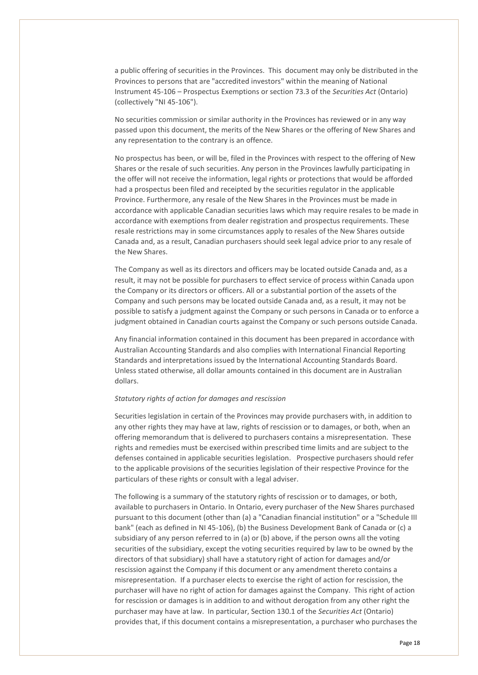a public offering of securities in the Provinces. This document may only be distributed in the Provinces to persons that are "accredited investors" within the meaning of National Instrument 45-106 – Prospectus Exemptions or section 73.3 of the *Securities Act* (Ontario) (collectively "NI 45-106").

No securities commission or similar authority in the Provinces has reviewed or in any way passed upon this document, the merits of the New Shares or the offering of New Shares and any representation to the contrary is an offence.

No prospectus has been, or will be, filed in the Provinces with respect to the offering of New Shares or the resale of such securities. Any person in the Provinces lawfully participating in the offer will not receive the information, legal rights or protections that would be afforded had a prospectus been filed and receipted by the securities regulator in the applicable Province. Furthermore, any resale of the New Shares in the Provinces must be made in accordance with applicable Canadian securities laws which may require resales to be made in accordance with exemptions from dealer registration and prospectus requirements. These resale restrictions may in some circumstances apply to resales of the New Shares outside Canada and, as a result, Canadian purchasers should seek legal advice prior to any resale of the New Shares.

The Company as well as its directors and officers may be located outside Canada and, as a result, it may not be possible for purchasers to effect service of process within Canada upon the Company or its directors or officers. All or a substantial portion of the assets of the Company and such persons may be located outside Canada and, as a result, it may not be possible to satisfy a judgment against the Company or such persons in Canada or to enforce a judgment obtained in Canadian courts against the Company or such persons outside Canada.

Any financial information contained in this document has been prepared in accordance with Australian Accounting Standards and also complies with International Financial Reporting Standards and interpretations issued by the International Accounting Standards Board. Unless stated otherwise, all dollar amounts contained in this document are in Australian dollars.

#### *Statutory rights of action for damages and rescission*

Securities legislation in certain of the Provinces may provide purchasers with, in addition to any other rights they may have at law, rights of rescission or to damages, or both, when an offering memorandum that is delivered to purchasers contains a misrepresentation. These rights and remedies must be exercised within prescribed time limits and are subject to the defenses contained in applicable securities legislation. Prospective purchasers should refer to the applicable provisions of the securities legislation of their respective Province for the particulars of these rights or consult with a legal adviser.

The following is a summary of the statutory rights of rescission or to damages, or both, available to purchasers in Ontario. In Ontario, every purchaser of the New Shares purchased pursuant to this document (other than (a) a "Canadian financial institution" or a "Schedule III bank" (each as defined in NI 45-106), (b) the Business Development Bank of Canada or (c) a subsidiary of any person referred to in (a) or (b) above, if the person owns all the voting securities of the subsidiary, except the voting securities required by law to be owned by the directors of that subsidiary) shall have a statutory right of action for damages and/or rescission against the Company if this document or any amendment thereto contains a misrepresentation. If a purchaser elects to exercise the right of action for rescission, the purchaser will have no right of action for damages against the Company. This right of action for rescission or damages is in addition to and without derogation from any other right the purchaser may have at law. In particular, Section 130.1 of the *Securities Act* (Ontario) provides that, if this document contains a misrepresentation, a purchaser who purchases the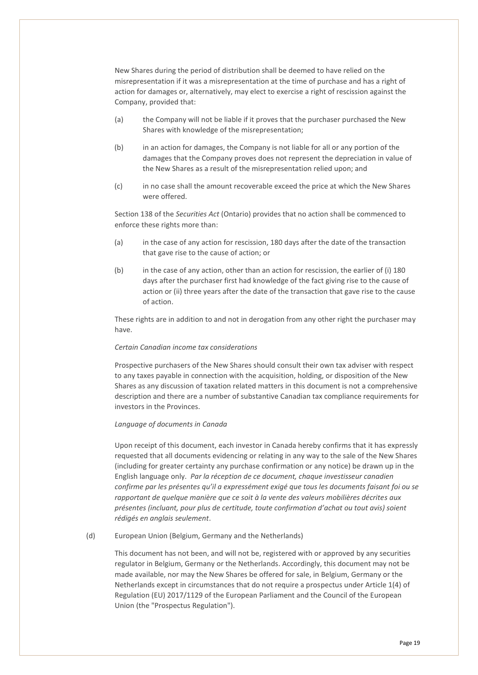New Shares during the period of distribution shall be deemed to have relied on the misrepresentation if it was a misrepresentation at the time of purchase and has a right of action for damages or, alternatively, may elect to exercise a right of rescission against the Company, provided that:

- (a) the Company will not be liable if it proves that the purchaser purchased the New Shares with knowledge of the misrepresentation;
- (b) in an action for damages, the Company is not liable for all or any portion of the damages that the Company proves does not represent the depreciation in value of the New Shares as a result of the misrepresentation relied upon; and
- (c) in no case shall the amount recoverable exceed the price at which the New Shares were offered.

Section 138 of the *Securities Act* (Ontario) provides that no action shall be commenced to enforce these rights more than:

- (a) in the case of any action for rescission, 180 days after the date of the transaction that gave rise to the cause of action; or
- (b) in the case of any action, other than an action for rescission, the earlier of (i) 180 days after the purchaser first had knowledge of the fact giving rise to the cause of action or (ii) three years after the date of the transaction that gave rise to the cause of action.

These rights are in addition to and not in derogation from any other right the purchaser may have.

#### *Certain Canadian income tax considerations*

Prospective purchasers of the New Shares should consult their own tax adviser with respect to any taxes payable in connection with the acquisition, holding, or disposition of the New Shares as any discussion of taxation related matters in this document is not a comprehensive description and there are a number of substantive Canadian tax compliance requirements for investors in the Provinces.

#### *Language of documents in Canada*

Upon receipt of this document, each investor in Canada hereby confirms that it has expressly requested that all documents evidencing or relating in any way to the sale of the New Shares (including for greater certainty any purchase confirmation or any notice) be drawn up in the English language only. *Par la réception de ce document, chaque investisseur canadien confirme par les présentes qu'il a expressément exigé que tous les documents faisant foi ou se rapportant de quelque manière que ce soit à la vente des valeurs mobilières décrites aux présentes (incluant, pour plus de certitude, toute confirmation d'achat ou tout avis) soient rédigés en anglais seulement*.

(d) European Union (Belgium, Germany and the Netherlands)

This document has not been, and will not be, registered with or approved by any securities regulator in Belgium, Germany or the Netherlands. Accordingly, this document may not be made available, nor may the New Shares be offered for sale, in Belgium, Germany or the Netherlands except in circumstances that do not require a prospectus under Article 1(4) of Regulation (EU) 2017/1129 of the European Parliament and the Council of the European Union (the "Prospectus Regulation").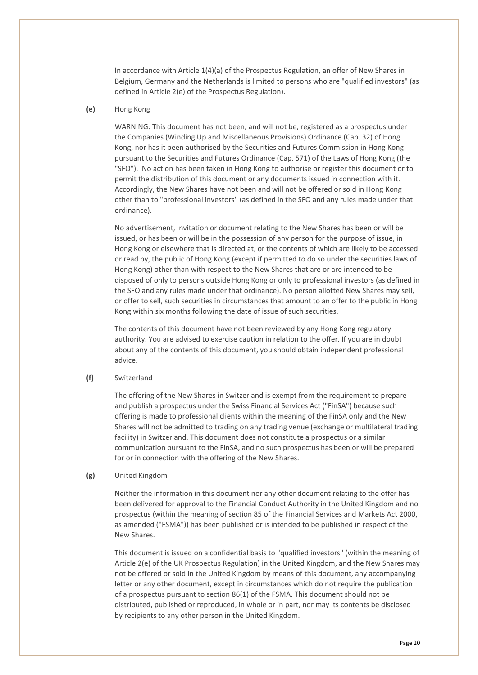In accordance with Article 1(4)(a) of the Prospectus Regulation, an offer of New Shares in Belgium, Germany and the Netherlands is limited to persons who are "qualified investors" (as defined in Article 2(e) of the Prospectus Regulation).

#### **(e)** Hong Kong

WARNING: This document has not been, and will not be, registered as a prospectus under the Companies (Winding Up and Miscellaneous Provisions) Ordinance (Cap. 32) of Hong Kong, nor has it been authorised by the Securities and Futures Commission in Hong Kong pursuant to the Securities and Futures Ordinance (Cap. 571) of the Laws of Hong Kong (the "SFO"). No action has been taken in Hong Kong to authorise or register this document or to permit the distribution of this document or any documents issued in connection with it. Accordingly, the New Shares have not been and will not be offered or sold in Hong Kong other than to "professional investors" (as defined in the SFO and any rules made under that ordinance).

No advertisement, invitation or document relating to the New Shares has been or will be issued, or has been or will be in the possession of any person for the purpose of issue, in Hong Kong or elsewhere that is directed at, or the contents of which are likely to be accessed or read by, the public of Hong Kong (except if permitted to do so under the securities laws of Hong Kong) other than with respect to the New Shares that are or are intended to be disposed of only to persons outside Hong Kong or only to professional investors (as defined in the SFO and any rules made under that ordinance). No person allotted New Shares may sell, or offer to sell, such securities in circumstances that amount to an offer to the public in Hong Kong within six months following the date of issue of such securities.

The contents of this document have not been reviewed by any Hong Kong regulatory authority. You are advised to exercise caution in relation to the offer. If you are in doubt about any of the contents of this document, you should obtain independent professional advice.

#### **(f)** Switzerland

The offering of the New Shares in Switzerland is exempt from the requirement to prepare and publish a prospectus under the Swiss Financial Services Act ("FinSA") because such offering is made to professional clients within the meaning of the FinSA only and the New Shares will not be admitted to trading on any trading venue (exchange or multilateral trading facility) in Switzerland. This document does not constitute a prospectus or a similar communication pursuant to the FinSA, and no such prospectus has been or will be prepared for or in connection with the offering of the New Shares.

#### **(g)** United Kingdom

Neither the information in this document nor any other document relating to the offer has been delivered for approval to the Financial Conduct Authority in the United Kingdom and no prospectus (within the meaning of section 85 of the Financial Services and Markets Act 2000, as amended ("FSMA")) has been published or is intended to be published in respect of the New Shares.

This document is issued on a confidential basis to "qualified investors" (within the meaning of Article 2(e) of the UK Prospectus Regulation) in the United Kingdom, and the New Shares may not be offered or sold in the United Kingdom by means of this document, any accompanying letter or any other document, except in circumstances which do not require the publication of a prospectus pursuant to section 86(1) of the FSMA. This document should not be distributed, published or reproduced, in whole or in part, nor may its contents be disclosed by recipients to any other person in the United Kingdom.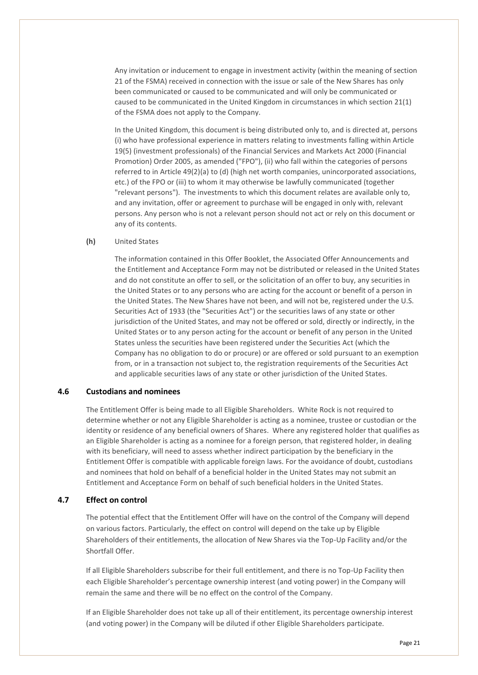Any invitation or inducement to engage in investment activity (within the meaning of section 21 of the FSMA) received in connection with the issue or sale of the New Shares has only been communicated or caused to be communicated and will only be communicated or caused to be communicated in the United Kingdom in circumstances in which section 21(1) of the FSMA does not apply to the Company.

In the United Kingdom, this document is being distributed only to, and is directed at, persons (i) who have professional experience in matters relating to investments falling within Article 19(5) (investment professionals) of the Financial Services and Markets Act 2000 (Financial Promotion) Order 2005, as amended ("FPO"), (ii) who fall within the categories of persons referred to in Article 49(2)(a) to (d) (high net worth companies, unincorporated associations, etc.) of the FPO or (iii) to whom it may otherwise be lawfully communicated (together "relevant persons"). The investments to which this document relates are available only to, and any invitation, offer or agreement to purchase will be engaged in only with, relevant persons. Any person who is not a relevant person should not act or rely on this document or any of its contents.

#### **(h)** United States

The information contained in this Offer Booklet, the Associated Offer Announcements and the Entitlement and Acceptance Form may not be distributed or released in the United States and do not constitute an offer to sell, or the solicitation of an offer to buy, any securities in the United States or to any persons who are acting for the account or benefit of a person in the United States. The New Shares have not been, and will not be, registered under the U.S. Securities Act of 1933 (the "Securities Act") or the securities laws of any state or other jurisdiction of the United States, and may not be offered or sold, directly or indirectly, in the United States or to any person acting for the account or benefit of any person in the United States unless the securities have been registered under the Securities Act (which the Company has no obligation to do or procure) or are offered or sold pursuant to an exemption from, or in a transaction not subject to, the registration requirements of the Securities Act and applicable securities laws of any state or other jurisdiction of the United States.

#### <span id="page-20-0"></span>**4.6 Custodians and nominees**

The Entitlement Offer is being made to all Eligible Shareholders. White Rock is not required to determine whether or not any Eligible Shareholder is acting as a nominee, trustee or custodian or the identity or residence of any beneficial owners of Shares. Where any registered holder that qualifies as an Eligible Shareholder is acting as a nominee for a foreign person, that registered holder, in dealing with its beneficiary, will need to assess whether indirect participation by the beneficiary in the Entitlement Offer is compatible with applicable foreign laws. For the avoidance of doubt, custodians and nominees that hold on behalf of a beneficial holder in the United States may not submit an Entitlement and Acceptance Form on behalf of such beneficial holders in the United States.

#### <span id="page-20-1"></span>**4.7 Effect on control**

The potential effect that the Entitlement Offer will have on the control of the Company will depend on various factors. Particularly, the effect on control will depend on the take up by Eligible Shareholders of their entitlements, the allocation of New Shares via the Top-Up Facility and/or the Shortfall Offer.

If all Eligible Shareholders subscribe for their full entitlement, and there is no Top-Up Facility then each Eligible Shareholder's percentage ownership interest (and voting power) in the Company will remain the same and there will be no effect on the control of the Company.

If an Eligible Shareholder does not take up all of their entitlement, its percentage ownership interest (and voting power) in the Company will be diluted if other Eligible Shareholders participate.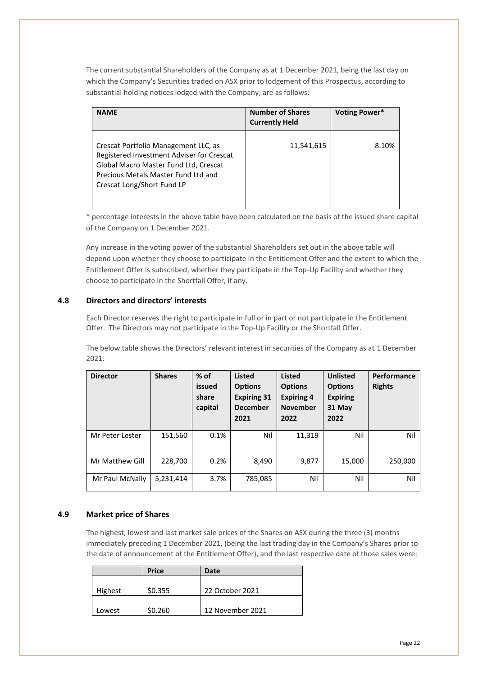The current substantial Shareholders of the Company as at 1 December 2021, being the last day on which the Company's Securities traded on ASX prior to lodgement of this Prospectus, according to substantial holding notices lodged with the Company, are as follows:

| <b>NAME</b>                                                                                                                                                                                     | <b>Number of Shares</b><br><b>Currently Held</b> | Voting Power* |
|-------------------------------------------------------------------------------------------------------------------------------------------------------------------------------------------------|--------------------------------------------------|---------------|
| Crescat Portfolio Management LLC, as<br>Registered Investment Adviser for Crescat<br>Global Macro Master Fund Ltd, Crescat<br>Precious Metals Master Fund Ltd and<br>Crescat Long/Short Fund LP | 11,541,615                                       | 8.10%         |

\* percentage interests in the above table have been calculated on the basis of the issued share capital of the Company on 1 December 2021.

Any increase in the voting power of the substantial Shareholders set out in the above table will depend upon whether they choose to participate in the Entitlement Offer and the extent to which the Entitlement Offer is subscribed, whether they participate in the Top-Up Facility and whether they choose to participate in the Shortfall Offer, if any.

#### <span id="page-21-0"></span>**4.8 Directors and directors' interests**

Each Director reserves the right to participate in full or in part or not participate in the Entitlement Offer. The Directors may not participate in the Top-Up Facility or the Shortfall Offer.

The below table shows the Directors' relevant interest in securities of the Company as at 1 December 2021.

| <b>Director</b> | <b>Shares</b> | $%$ of<br>issued<br>share<br>capital | <b>Listed</b><br><b>Options</b><br><b>Expiring 31</b><br><b>December</b><br>2021 | <b>Listed</b><br><b>Options</b><br><b>Expiring 4</b><br><b>November</b><br>2022 | <b>Unlisted</b><br><b>Options</b><br><b>Expiring</b><br>31 May<br>2022 | Performance<br><b>Rights</b> |
|-----------------|---------------|--------------------------------------|----------------------------------------------------------------------------------|---------------------------------------------------------------------------------|------------------------------------------------------------------------|------------------------------|
| Mr Peter Lester | 151,560       | 0.1%                                 | Nil                                                                              | 11,319                                                                          | Nil                                                                    | Nil                          |
| Mr Matthew Gill | 228,700       | 0.2%                                 | 8,490                                                                            | 9,877                                                                           | 15,000                                                                 | 250,000                      |
| Mr Paul McNally | 5,231,414     | 3.7%                                 | 785,085                                                                          | Nil                                                                             | Nil                                                                    | Nil                          |

#### <span id="page-21-1"></span>**4.9 Market price of Shares**

The highest, lowest and last market sale prices of the Shares on ASX during the three (3) months immediately preceding 1 December 2021, (being the last trading day in the Company's Shares prior to the date of announcement of the Entitlement Offer), and the last respective date of those sales were:

|         | <b>Price</b> | Date             |
|---------|--------------|------------------|
|         |              |                  |
| Highest | \$0.355      | 22 October 2021  |
|         |              |                  |
| Lowest  | \$0.260      | 12 November 2021 |
|         |              |                  |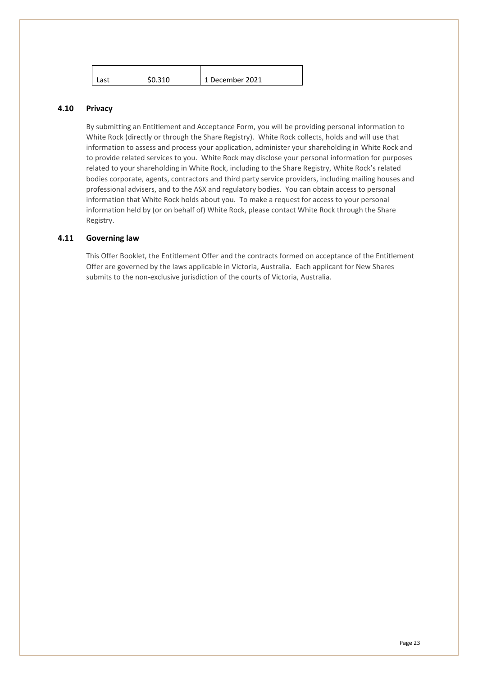| ∍ct | \$0.310 | 1 December 2021 |
|-----|---------|-----------------|
|-----|---------|-----------------|

#### <span id="page-22-0"></span>**4.10 Privacy**

By submitting an Entitlement and Acceptance Form, you will be providing personal information to White Rock (directly or through the Share Registry). White Rock collects, holds and will use that information to assess and process your application, administer your shareholding in White Rock and to provide related services to you. White Rock may disclose your personal information for purposes related to your shareholding in White Rock, including to the Share Registry, White Rock's related bodies corporate, agents, contractors and third party service providers, including mailing houses and professional advisers, and to the ASX and regulatory bodies. You can obtain access to personal information that White Rock holds about you. To make a request for access to your personal information held by (or on behalf of) White Rock, please contact White Rock through the Share Registry.

#### <span id="page-22-1"></span>**4.11 Governing law**

This Offer Booklet, the Entitlement Offer and the contracts formed on acceptance of the Entitlement Offer are governed by the laws applicable in Victoria, Australia. Each applicant for New Shares submits to the non-exclusive jurisdiction of the courts of Victoria, Australia.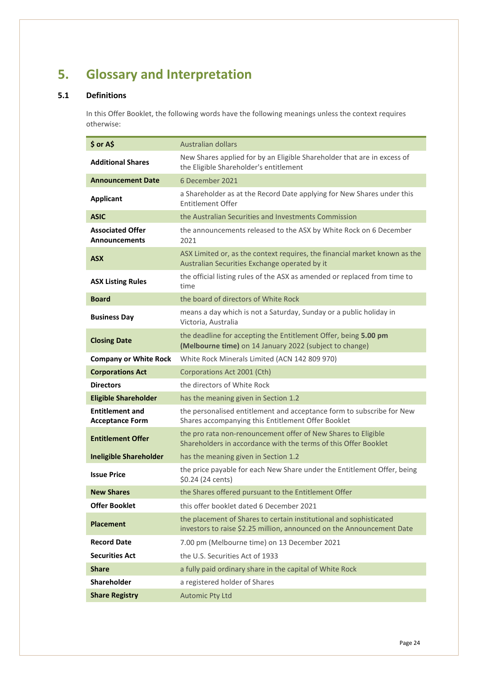# <span id="page-23-0"></span>**5. Glossary and Interpretation**

#### <span id="page-23-1"></span>**5.1 Definitions**

In this Offer Booklet, the following words have the following meanings unless the context requires otherwise:

| \$ or A\$                                        | Australian dollars                                                                                                                          |
|--------------------------------------------------|---------------------------------------------------------------------------------------------------------------------------------------------|
| <b>Additional Shares</b>                         | New Shares applied for by an Eligible Shareholder that are in excess of<br>the Eligible Shareholder's entitlement                           |
| <b>Announcement Date</b>                         | 6 December 2021                                                                                                                             |
| <b>Applicant</b>                                 | a Shareholder as at the Record Date applying for New Shares under this<br><b>Entitlement Offer</b>                                          |
| <b>ASIC</b>                                      | the Australian Securities and Investments Commission                                                                                        |
| <b>Associated Offer</b><br><b>Announcements</b>  | the announcements released to the ASX by White Rock on 6 December<br>2021                                                                   |
| <b>ASX</b>                                       | ASX Limited or, as the context requires, the financial market known as the<br>Australian Securities Exchange operated by it                 |
| <b>ASX Listing Rules</b>                         | the official listing rules of the ASX as amended or replaced from time to<br>time                                                           |
| <b>Board</b>                                     | the board of directors of White Rock                                                                                                        |
| <b>Business Day</b>                              | means a day which is not a Saturday, Sunday or a public holiday in<br>Victoria, Australia                                                   |
| <b>Closing Date</b>                              | the deadline for accepting the Entitlement Offer, being 5.00 pm<br>(Melbourne time) on 14 January 2022 (subject to change)                  |
| <b>Company or White Rock</b>                     | White Rock Minerals Limited (ACN 142 809 970)                                                                                               |
| <b>Corporations Act</b>                          | Corporations Act 2001 (Cth)                                                                                                                 |
| <b>Directors</b>                                 | the directors of White Rock                                                                                                                 |
| <b>Eligible Shareholder</b>                      | has the meaning given in Section 1.2                                                                                                        |
| <b>Entitlement and</b><br><b>Acceptance Form</b> | the personalised entitlement and acceptance form to subscribe for New<br>Shares accompanying this Entitlement Offer Booklet                 |
| <b>Entitlement Offer</b>                         | the pro rata non-renouncement offer of New Shares to Eligible<br>Shareholders in accordance with the terms of this Offer Booklet            |
| <b>Ineligible Shareholder</b>                    | has the meaning given in Section 1.2                                                                                                        |
| <b>Issue Price</b>                               | the price payable for each New Share under the Entitlement Offer, being<br>\$0.24 (24 cents)                                                |
|                                                  |                                                                                                                                             |
| <b>New Shares</b>                                | the Shares offered pursuant to the Entitlement Offer                                                                                        |
| <b>Offer Booklet</b>                             | this offer booklet dated 6 December 2021                                                                                                    |
| <b>Placement</b>                                 | the placement of Shares to certain institutional and sophisticated<br>investors to raise \$2.25 million, announced on the Announcement Date |
| <b>Record Date</b>                               | 7.00 pm (Melbourne time) on 13 December 2021                                                                                                |
| <b>Securities Act</b>                            | the U.S. Securities Act of 1933                                                                                                             |
| <b>Share</b>                                     | a fully paid ordinary share in the capital of White Rock                                                                                    |
| <b>Shareholder</b>                               | a registered holder of Shares                                                                                                               |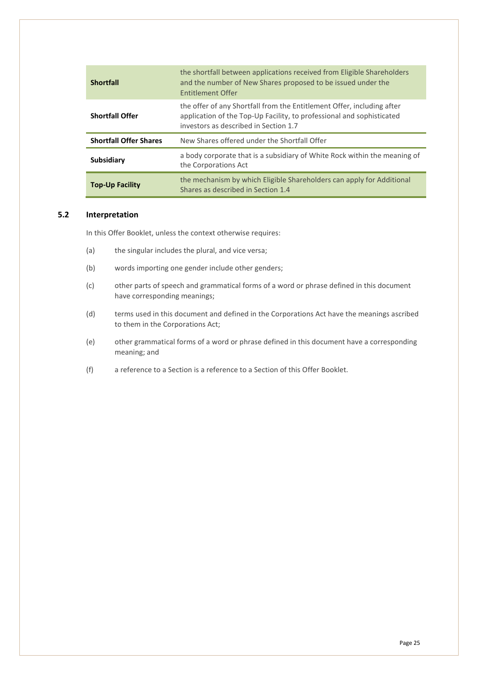| <b>Shortfall</b>              | the shortfall between applications received from Eligible Shareholders<br>and the number of New Shares proposed to be issued under the<br><b>Fntitlement Offer</b>                       |
|-------------------------------|------------------------------------------------------------------------------------------------------------------------------------------------------------------------------------------|
| <b>Shortfall Offer</b>        | the offer of any Shortfall from the Entitlement Offer, including after<br>application of the Top-Up Facility, to professional and sophisticated<br>investors as described in Section 1.7 |
| <b>Shortfall Offer Shares</b> | New Shares offered under the Shortfall Offer                                                                                                                                             |
| Subsidiary                    | a body corporate that is a subsidiary of White Rock within the meaning of<br>the Corporations Act                                                                                        |
| <b>Top-Up Facility</b>        | the mechanism by which Eligible Shareholders can apply for Additional<br>Shares as described in Section 1.4                                                                              |

#### <span id="page-24-0"></span>**5.2 Interpretation**

In this Offer Booklet, unless the context otherwise requires:

- (a) the singular includes the plural, and vice versa;
- (b) words importing one gender include other genders;
- (c) other parts of speech and grammatical forms of a word or phrase defined in this document have corresponding meanings;
- (d) terms used in this document and defined in the Corporations Act have the meanings ascribed to them in the Corporations Act;
- (e) other grammatical forms of a word or phrase defined in this document have a corresponding meaning; and
- (f) a reference to a Section is a reference to a Section of this Offer Booklet.